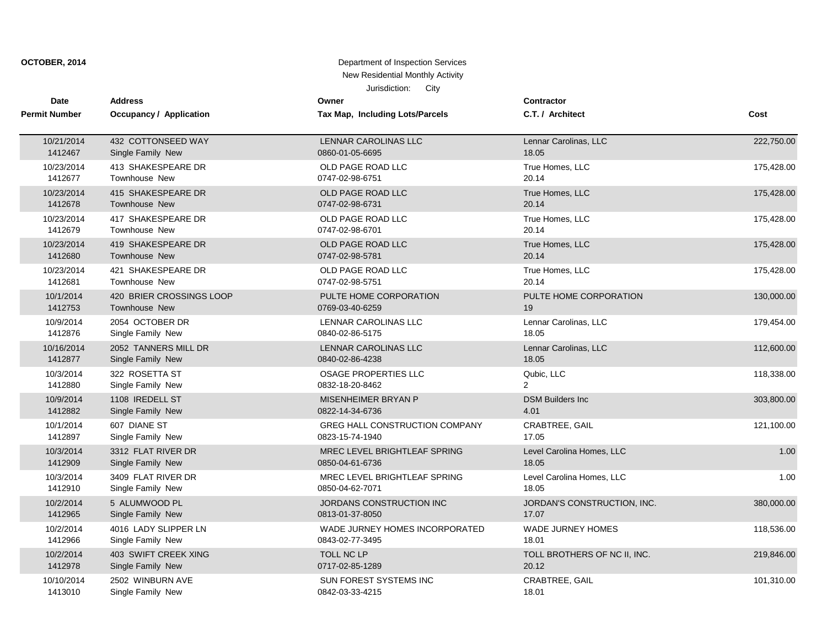| Date                 | <b>Address</b>           | Owner                           | Contractor                   |            |
|----------------------|--------------------------|---------------------------------|------------------------------|------------|
| <b>Permit Number</b> | Occupancy / Application  | Tax Map, Including Lots/Parcels | C.T. / Architect             | Cost       |
| 10/21/2014           | 432 COTTONSEED WAY       | LENNAR CAROLINAS LLC            | Lennar Carolinas, LLC        | 222,750.00 |
| 1412467              | Single Family New        | 0860-01-05-6695                 | 18.05                        |            |
| 10/23/2014           | 413 SHAKESPEARE DR       | OLD PAGE ROAD LLC               | True Homes, LLC              | 175,428.00 |
| 1412677              | Townhouse New            | 0747-02-98-6751                 | 20.14                        |            |
| 10/23/2014           | 415 SHAKESPEARE DR       | OLD PAGE ROAD LLC               | True Homes, LLC              | 175,428.00 |
| 1412678              | <b>Townhouse New</b>     | 0747-02-98-6731                 | 20.14                        |            |
| 10/23/2014           | 417 SHAKESPEARE DR       | OLD PAGE ROAD LLC               | True Homes, LLC              | 175,428.00 |
| 1412679              | Townhouse New            | 0747-02-98-6701                 | 20.14                        |            |
| 10/23/2014           | 419 SHAKESPEARE DR       | OLD PAGE ROAD LLC               | True Homes, LLC              | 175,428.00 |
| 1412680              | Townhouse New            | 0747-02-98-5781                 | 20.14                        |            |
| 10/23/2014           | 421 SHAKESPEARE DR       | OLD PAGE ROAD LLC               | True Homes, LLC              | 175,428.00 |
| 1412681              | Townhouse New            | 0747-02-98-5751                 | 20.14                        |            |
| 10/1/2014            | 420 BRIER CROSSINGS LOOP | PULTE HOME CORPORATION          | PULTE HOME CORPORATION       | 130,000.00 |
| 1412753              | <b>Townhouse New</b>     | 0769-03-40-6259                 | 19                           |            |
| 10/9/2014            | 2054 OCTOBER DR          | <b>LENNAR CAROLINAS LLC</b>     | Lennar Carolinas, LLC        | 179,454.00 |
| 1412876              | Single Family New        | 0840-02-86-5175                 | 18.05                        |            |
| 10/16/2014           | 2052 TANNERS MILL DR     | LENNAR CAROLINAS LLC            | Lennar Carolinas, LLC        | 112,600.00 |
| 1412877              | Single Family New        | 0840-02-86-4238                 | 18.05                        |            |
| 10/3/2014            | 322 ROSETTA ST           | <b>OSAGE PROPERTIES LLC</b>     | Qubic, LLC                   | 118,338.00 |
| 1412880              | Single Family New        | 0832-18-20-8462                 | $\overline{2}$               |            |
| 10/9/2014            | 1108 IREDELL ST          | MISENHEIMER BRYAN P             | <b>DSM Builders Inc</b>      | 303,800.00 |
| 1412882              | Single Family New        | 0822-14-34-6736                 | 4.01                         |            |
| 10/1/2014            | 607 DIANE ST             | GREG HALL CONSTRUCTION COMPANY  | CRABTREE, GAIL               | 121,100.00 |
| 1412897              | Single Family New        | 0823-15-74-1940                 | 17.05                        |            |
| 10/3/2014            | 3312 FLAT RIVER DR       | MREC LEVEL BRIGHTLEAF SPRING    | Level Carolina Homes, LLC    | 1.00       |
| 1412909              | Single Family New        | 0850-04-61-6736                 | 18.05                        |            |
| 10/3/2014            | 3409 FLAT RIVER DR       | MREC LEVEL BRIGHTLEAF SPRING    | Level Carolina Homes, LLC    | 1.00       |
| 1412910              | Single Family New        | 0850-04-62-7071                 | 18.05                        |            |
| 10/2/2014            | 5 ALUMWOOD PL            | JORDANS CONSTRUCTION INC        | JORDAN'S CONSTRUCTION, INC.  | 380,000.00 |
| 1412965              | Single Family New        | 0813-01-37-8050                 | 17.07                        |            |
| 10/2/2014            | 4016 LADY SLIPPER LN     | WADE JURNEY HOMES INCORPORATED  | <b>WADE JURNEY HOMES</b>     | 118,536.00 |
| 1412966              | Single Family New        | 0843-02-77-3495                 | 18.01                        |            |
| 10/2/2014            | 403 SWIFT CREEK XING     | TOLL NC LP                      | TOLL BROTHERS OF NC II, INC. | 219,846.00 |
| 1412978              | Single Family New        | 0717-02-85-1289                 | 20.12                        |            |
| 10/10/2014           | 2502 WINBURN AVE         | <b>SUN FOREST SYSTEMS INC</b>   | <b>CRABTREE, GAIL</b>        | 101,310.00 |
| 1413010              | Single Family New        | 0842-03-33-4215                 | 18.01                        |            |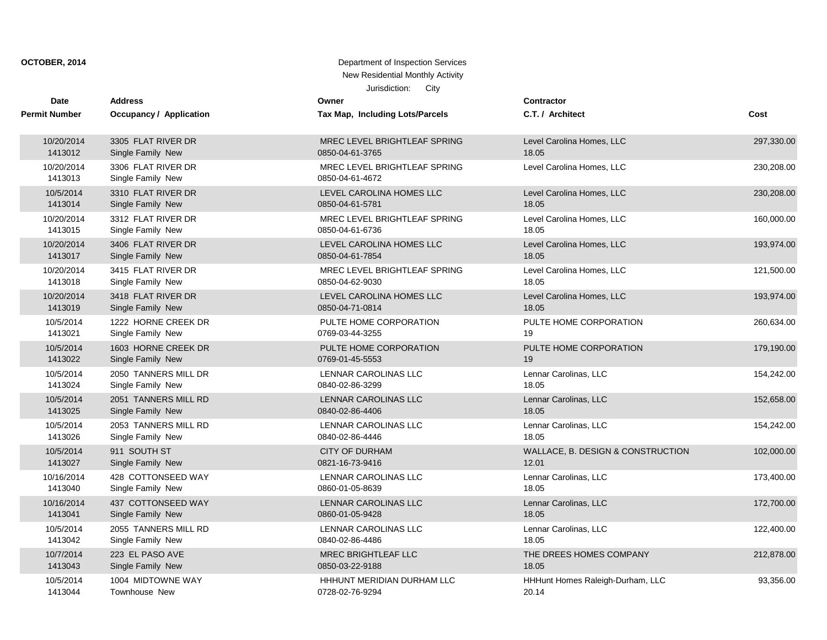| <b>Date</b>           | <b>Address</b>                          | Owner                                           | <b>Contractor</b>                 |            |
|-----------------------|-----------------------------------------|-------------------------------------------------|-----------------------------------|------------|
| <b>Permit Number</b>  | <b>Occupancy / Application</b>          | Tax Map, Including Lots/Parcels                 | C.T. / Architect                  | Cost       |
| 10/20/2014            | 3305 FLAT RIVER DR                      | MREC LEVEL BRIGHTLEAF SPRING                    | Level Carolina Homes, LLC         | 297,330.00 |
| 1413012               | Single Family New                       | 0850-04-61-3765                                 | 18.05                             |            |
| 10/20/2014<br>1413013 | 3306 FLAT RIVER DR<br>Single Family New | MREC LEVEL BRIGHTLEAF SPRING<br>0850-04-61-4672 | Level Carolina Homes, LLC         | 230,208.00 |
| 10/5/2014             | 3310 FLAT RIVER DR                      | LEVEL CAROLINA HOMES LLC                        | Level Carolina Homes, LLC         | 230,208.00 |
| 1413014               | Single Family New                       | 0850-04-61-5781                                 | 18.05                             |            |
| 10/20/2014            | 3312 FLAT RIVER DR                      | MREC LEVEL BRIGHTLEAF SPRING                    | Level Carolina Homes, LLC         | 160,000.00 |
| 1413015               | Single Family New                       | 0850-04-61-6736                                 | 18.05                             |            |
| 10/20/2014            | 3406 FLAT RIVER DR                      | LEVEL CAROLINA HOMES LLC                        | Level Carolina Homes, LLC         | 193,974.00 |
| 1413017               | Single Family New                       | 0850-04-61-7854                                 | 18.05                             |            |
| 10/20/2014            | 3415 FLAT RIVER DR                      | MREC LEVEL BRIGHTLEAF SPRING                    | Level Carolina Homes, LLC         | 121,500.00 |
| 1413018               | Single Family New                       | 0850-04-62-9030                                 | 18.05                             |            |
| 10/20/2014            | 3418 FLAT RIVER DR                      | LEVEL CAROLINA HOMES LLC                        | Level Carolina Homes, LLC         | 193,974.00 |
| 1413019               | Single Family New                       | 0850-04-71-0814                                 | 18.05                             |            |
| 10/5/2014             | 1222 HORNE CREEK DR                     | PULTE HOME CORPORATION                          | PULTE HOME CORPORATION            | 260,634.00 |
| 1413021               | Single Family New                       | 0769-03-44-3255                                 | 19                                |            |
| 10/5/2014             | 1603 HORNE CREEK DR                     | PULTE HOME CORPORATION                          | PULTE HOME CORPORATION            | 179,190.00 |
| 1413022               | Single Family New                       | 0769-01-45-5553                                 | 19                                |            |
| 10/5/2014             | 2050 TANNERS MILL DR                    | LENNAR CAROLINAS LLC                            | Lennar Carolinas, LLC             | 154,242.00 |
| 1413024               | Single Family New                       | 0840-02-86-3299                                 | 18.05                             |            |
| 10/5/2014             | 2051 TANNERS MILL RD                    | <b>LENNAR CAROLINAS LLC</b>                     | Lennar Carolinas, LLC             | 152,658.00 |
| 1413025               | Single Family New                       | 0840-02-86-4406                                 | 18.05                             |            |
| 10/5/2014             | 2053 TANNERS MILL RD                    | LENNAR CAROLINAS LLC                            | Lennar Carolinas, LLC             | 154,242.00 |
| 1413026               | Single Family New                       | 0840-02-86-4446                                 | 18.05                             |            |
| 10/5/2014             | 911 SOUTH ST                            | <b>CITY OF DURHAM</b>                           | WALLACE, B. DESIGN & CONSTRUCTION | 102,000.00 |
| 1413027               | Single Family New                       | 0821-16-73-9416                                 | 12.01                             |            |
| 10/16/2014            | 428 COTTONSEED WAY                      | <b>LENNAR CAROLINAS LLC</b>                     | Lennar Carolinas, LLC             | 173,400.00 |
| 1413040               | Single Family New                       | 0860-01-05-8639                                 | 18.05                             |            |
| 10/16/2014            | 437 COTTONSEED WAY                      | LENNAR CAROLINAS LLC                            | Lennar Carolinas, LLC             | 172,700.00 |
| 1413041               | Single Family New                       | 0860-01-05-9428                                 | 18.05                             |            |
| 10/5/2014             | 2055 TANNERS MILL RD                    | <b>LENNAR CAROLINAS LLC</b>                     | Lennar Carolinas, LLC             | 122,400.00 |
| 1413042               | Single Family New                       | 0840-02-86-4486                                 | 18.05                             |            |
| 10/7/2014             | 223 EL PASO AVE                         | <b>MREC BRIGHTLEAF LLC</b>                      | THE DREES HOMES COMPANY           | 212,878.00 |
| 1413043               | Single Family New                       | 0850-03-22-9188                                 | 18.05                             |            |
| 10/5/2014             | 1004 MIDTOWNE WAY                       | HHHUNT MERIDIAN DURHAM LLC                      | HHHunt Homes Raleigh-Durham, LLC  | 93,356.00  |
| 1413044               | <b>Townhouse New</b>                    | 0728-02-76-9294                                 | 20.14                             |            |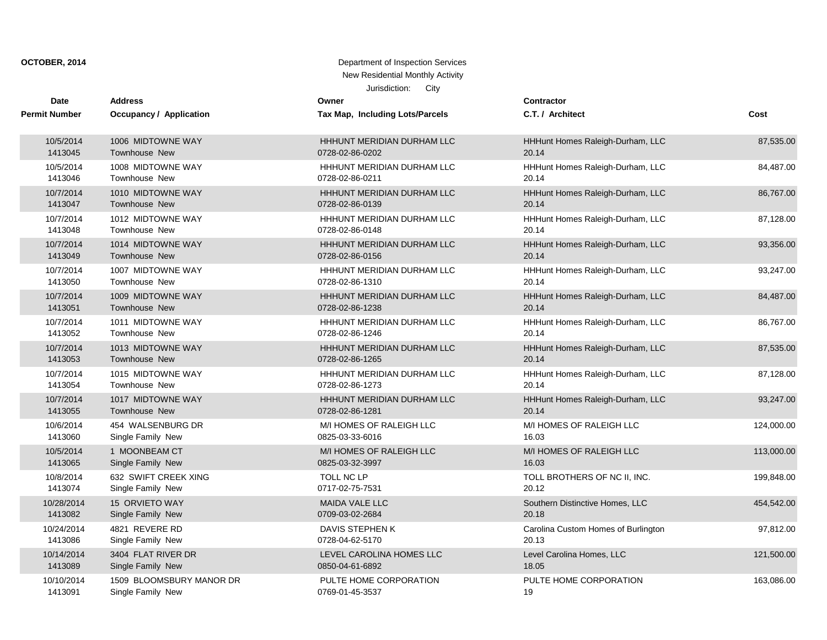| <b>Date</b>          | <b>Address</b>           | Owner                           | <b>Contractor</b>                   |            |
|----------------------|--------------------------|---------------------------------|-------------------------------------|------------|
| <b>Permit Number</b> | Occupancy / Application  | Tax Map, Including Lots/Parcels | C.T. / Architect                    | Cost       |
| 10/5/2014            | 1006 MIDTOWNE WAY        | HHHUNT MERIDIAN DURHAM LLC      | HHHunt Homes Raleigh-Durham, LLC    | 87,535.00  |
| 1413045              | Townhouse New            | 0728-02-86-0202                 | 20.14                               |            |
| 10/5/2014            | 1008 MIDTOWNE WAY        | HHHUNT MERIDIAN DURHAM LLC      | HHHunt Homes Raleigh-Durham, LLC    | 84,487.00  |
| 1413046              | Townhouse New            | 0728-02-86-0211                 | 20.14                               |            |
| 10/7/2014            | 1010 MIDTOWNE WAY        | HHHUNT MERIDIAN DURHAM LLC      | HHHunt Homes Raleigh-Durham, LLC    | 86,767.00  |
| 1413047              | <b>Townhouse New</b>     | 0728-02-86-0139                 | 20.14                               |            |
| 10/7/2014            | 1012 MIDTOWNE WAY        | HHHUNT MERIDIAN DURHAM LLC      | HHHunt Homes Raleigh-Durham, LLC    | 87,128.00  |
| 1413048              | Townhouse New            | 0728-02-86-0148                 | 20.14                               |            |
| 10/7/2014            | 1014 MIDTOWNE WAY        | HHHUNT MERIDIAN DURHAM LLC      | HHHunt Homes Raleigh-Durham, LLC    | 93,356.00  |
| 1413049              | Townhouse New            | 0728-02-86-0156                 | 20.14                               |            |
| 10/7/2014            | 1007 MIDTOWNE WAY        | HHHUNT MERIDIAN DURHAM LLC      | HHHunt Homes Raleigh-Durham, LLC    | 93,247.00  |
| 1413050              | Townhouse New            | 0728-02-86-1310                 | 20.14                               |            |
| 10/7/2014            | 1009 MIDTOWNE WAY        | HHHUNT MERIDIAN DURHAM LLC      | HHHunt Homes Raleigh-Durham, LLC    | 84,487.00  |
| 1413051              | Townhouse New            | 0728-02-86-1238                 | 20.14                               |            |
| 10/7/2014            | 1011 MIDTOWNE WAY        | HHHUNT MERIDIAN DURHAM LLC      | HHHunt Homes Raleigh-Durham, LLC    | 86,767.00  |
| 1413052              | Townhouse New            | 0728-02-86-1246                 | 20.14                               |            |
| 10/7/2014            | 1013 MIDTOWNE WAY        | HHHUNT MERIDIAN DURHAM LLC      | HHHunt Homes Raleigh-Durham, LLC    | 87,535.00  |
| 1413053              | Townhouse New            | 0728-02-86-1265                 | 20.14                               |            |
| 10/7/2014            | 1015 MIDTOWNE WAY        | HHHUNT MERIDIAN DURHAM LLC      | HHHunt Homes Raleigh-Durham, LLC    | 87,128.00  |
| 1413054              | Townhouse New            | 0728-02-86-1273                 | 20.14                               |            |
| 10/7/2014            | 1017 MIDTOWNE WAY        | HHHUNT MERIDIAN DURHAM LLC      | HHHunt Homes Raleigh-Durham, LLC    | 93,247.00  |
| 1413055              | <b>Townhouse New</b>     | 0728-02-86-1281                 | 20.14                               |            |
| 10/6/2014            | 454 WALSENBURG DR        | M/I HOMES OF RALEIGH LLC        | M/I HOMES OF RALEIGH LLC            | 124,000.00 |
| 1413060              | Single Family New        | 0825-03-33-6016                 | 16.03                               |            |
| 10/5/2014            | 1 MOONBEAM CT            | M/I HOMES OF RALEIGH LLC        | M/I HOMES OF RALEIGH LLC            | 113,000.00 |
| 1413065              | Single Family New        | 0825-03-32-3997                 | 16.03                               |            |
| 10/8/2014            | 632 SWIFT CREEK XING     | TOLL NC LP                      | TOLL BROTHERS OF NC II, INC.        | 199,848.00 |
| 1413074              | Single Family New        | 0717-02-75-7531                 | 20.12                               |            |
| 10/28/2014           | 15 ORVIETO WAY           | <b>MAIDA VALE LLC</b>           | Southern Distinctive Homes, LLC     | 454,542.00 |
| 1413082              | Single Family New        | 0709-03-02-2684                 | 20.18                               |            |
| 10/24/2014           | 4821 REVERE RD           | DAVIS STEPHEN K                 | Carolina Custom Homes of Burlington | 97,812.00  |
| 1413086              | Single Family New        | 0728-04-62-5170                 | 20.13                               |            |
| 10/14/2014           | 3404 FLAT RIVER DR       | LEVEL CAROLINA HOMES LLC        | Level Carolina Homes, LLC           | 121,500.00 |
| 1413089              | Single Family New        | 0850-04-61-6892                 | 18.05                               |            |
| 10/10/2014           | 1509 BLOOMSBURY MANOR DR | PULTE HOME CORPORATION          | PULTE HOME CORPORATION              | 163,086.00 |
| 1413091              | Single Family New        | 0769-01-45-3537                 | 19                                  |            |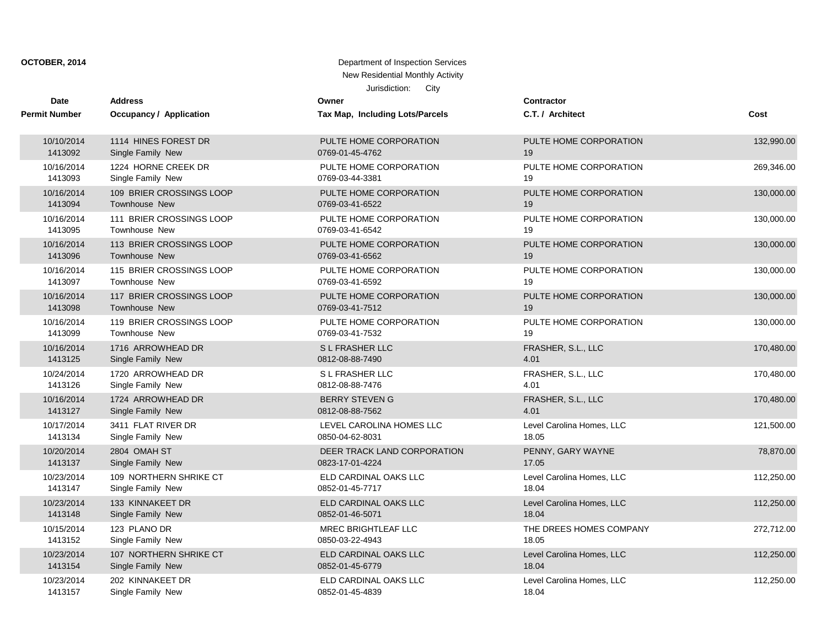| Date                 | <b>Address</b>                 | Owner                           | <b>Contractor</b>         |            |
|----------------------|--------------------------------|---------------------------------|---------------------------|------------|
| <b>Permit Number</b> | <b>Occupancy / Application</b> | Tax Map, Including Lots/Parcels | C.T. / Architect          | Cost       |
| 10/10/2014           | 1114 HINES FOREST DR           | PULTE HOME CORPORATION          | PULTE HOME CORPORATION    | 132,990.00 |
| 1413092              | Single Family New              | 0769-01-45-4762                 | 19                        |            |
| 10/16/2014           | 1224 HORNE CREEK DR            | PULTE HOME CORPORATION          | PULTE HOME CORPORATION    | 269,346.00 |
| 1413093              | Single Family New              | 0769-03-44-3381                 | 19                        |            |
| 10/16/2014           | 109 BRIER CROSSINGS LOOP       | PULTE HOME CORPORATION          | PULTE HOME CORPORATION    | 130,000.00 |
| 1413094              | <b>Townhouse New</b>           | 0769-03-41-6522                 | 19                        |            |
| 10/16/2014           | 111 BRIER CROSSINGS LOOP       | PULTE HOME CORPORATION          | PULTE HOME CORPORATION    | 130,000.00 |
| 1413095              | <b>Townhouse New</b>           | 0769-03-41-6542                 | 19                        |            |
| 10/16/2014           | 113 BRIER CROSSINGS LOOP       | PULTE HOME CORPORATION          | PULTE HOME CORPORATION    | 130,000.00 |
| 1413096              | <b>Townhouse New</b>           | 0769-03-41-6562                 | 19                        |            |
| 10/16/2014           | 115 BRIER CROSSINGS LOOP       | PULTE HOME CORPORATION          | PULTE HOME CORPORATION    | 130,000.00 |
| 1413097              | <b>Townhouse New</b>           | 0769-03-41-6592                 | 19                        |            |
| 10/16/2014           | 117 BRIER CROSSINGS LOOP       | PULTE HOME CORPORATION          | PULTE HOME CORPORATION    | 130,000.00 |
| 1413098              | <b>Townhouse New</b>           | 0769-03-41-7512                 | 19                        |            |
| 10/16/2014           | 119 BRIER CROSSINGS LOOP       | PULTE HOME CORPORATION          | PULTE HOME CORPORATION    | 130,000.00 |
| 1413099              | <b>Townhouse New</b>           | 0769-03-41-7532                 | 19                        |            |
| 10/16/2014           | 1716 ARROWHEAD DR              | S L FRASHER LLC                 | FRASHER, S.L., LLC        | 170,480.00 |
| 1413125              | Single Family New              | 0812-08-88-7490                 | 4.01                      |            |
| 10/24/2014           | 1720 ARROWHEAD DR              | S L FRASHER LLC                 | FRASHER, S.L., LLC        | 170,480.00 |
| 1413126              | Single Family New              | 0812-08-88-7476                 | 4.01                      |            |
| 10/16/2014           | 1724 ARROWHEAD DR              | <b>BERRY STEVEN G</b>           | FRASHER, S.L., LLC        | 170,480.00 |
| 1413127              | Single Family New              | 0812-08-88-7562                 | 4.01                      |            |
| 10/17/2014           | 3411 FLAT RIVER DR             | LEVEL CAROLINA HOMES LLC        | Level Carolina Homes, LLC | 121,500.00 |
| 1413134              | Single Family New              | 0850-04-62-8031                 | 18.05                     |            |
| 10/20/2014           | 2804 OMAH ST                   | DEER TRACK LAND CORPORATION     | PENNY, GARY WAYNE         | 78,870.00  |
| 1413137              | Single Family New              | 0823-17-01-4224                 | 17.05                     |            |
| 10/23/2014           | 109 NORTHERN SHRIKE CT         | ELD CARDINAL OAKS LLC           | Level Carolina Homes, LLC | 112,250.00 |
| 1413147              | Single Family New              | 0852-01-45-7717                 | 18.04                     |            |
| 10/23/2014           | 133 KINNAKEET DR               | ELD CARDINAL OAKS LLC           | Level Carolina Homes, LLC | 112,250.00 |
| 1413148              | Single Family New              | 0852-01-46-5071                 | 18.04                     |            |
| 10/15/2014           | 123 PLANO DR                   | <b>MREC BRIGHTLEAF LLC</b>      | THE DREES HOMES COMPANY   | 272,712.00 |
| 1413152              | Single Family New              | 0850-03-22-4943                 | 18.05                     |            |
| 10/23/2014           | 107 NORTHERN SHRIKE CT         | ELD CARDINAL OAKS LLC           | Level Carolina Homes, LLC | 112,250.00 |
| 1413154              | Single Family New              | 0852-01-45-6779                 | 18.04                     |            |
| 10/23/2014           | 202 KINNAKEET DR               | ELD CARDINAL OAKS LLC           | Level Carolina Homes, LLC | 112,250.00 |
| 1413157              | Single Family New              | 0852-01-45-4839                 | 18.04                     |            |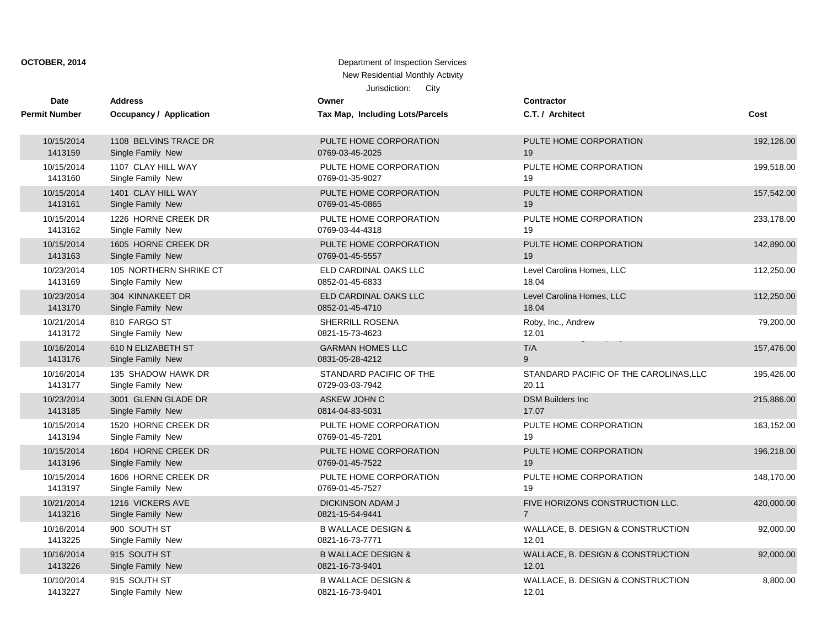| Date                 | <b>Address</b>          | Owner                           | <b>Contractor</b>                      |            |
|----------------------|-------------------------|---------------------------------|----------------------------------------|------------|
| <b>Permit Number</b> | Occupancy / Application | Tax Map, Including Lots/Parcels | C.T. / Architect                       | Cost       |
| 10/15/2014           | 1108 BELVINS TRACE DR   | PULTE HOME CORPORATION          | PULTE HOME CORPORATION                 | 192,126.00 |
| 1413159              | Single Family New       | 0769-03-45-2025                 | 19                                     |            |
| 10/15/2014           | 1107 CLAY HILL WAY      | PULTE HOME CORPORATION          | PULTE HOME CORPORATION                 | 199,518.00 |
| 1413160              | Single Family New       | 0769-01-35-9027                 | 19                                     |            |
| 10/15/2014           | 1401 CLAY HILL WAY      | PULTE HOME CORPORATION          | PULTE HOME CORPORATION                 | 157,542.00 |
| 1413161              | Single Family New       | 0769-01-45-0865                 | 19                                     |            |
| 10/15/2014           | 1226 HORNE CREEK DR     | PULTE HOME CORPORATION          | PULTE HOME CORPORATION                 | 233,178.00 |
| 1413162              | Single Family New       | 0769-03-44-4318                 | 19                                     |            |
| 10/15/2014           | 1605 HORNE CREEK DR     | PULTE HOME CORPORATION          | PULTE HOME CORPORATION                 | 142,890.00 |
| 1413163              | Single Family New       | 0769-01-45-5557                 | 19                                     |            |
| 10/23/2014           | 105 NORTHERN SHRIKE CT  | ELD CARDINAL OAKS LLC           | Level Carolina Homes, LLC              | 112,250.00 |
| 1413169              | Single Family New       | 0852-01-45-6833                 | 18.04                                  |            |
| 10/23/2014           | 304 KINNAKEET DR        | ELD CARDINAL OAKS LLC           | Level Carolina Homes, LLC              | 112,250.00 |
| 1413170              | Single Family New       | 0852-01-45-4710                 | 18.04                                  |            |
| 10/21/2014           | 810 FARGO ST            | SHERRILL ROSENA                 | Roby, Inc., Andrew                     | 79,200.00  |
| 1413172              | Single Family New       | 0821-15-73-4623                 | 12.01                                  |            |
| 10/16/2014           | 610 N ELIZABETH ST      | <b>GARMAN HOMES LLC</b>         | T/A                                    | 157,476.00 |
| 1413176              | Single Family New       | 0831-05-28-4212                 | 9                                      |            |
| 10/16/2014           | 135 SHADOW HAWK DR      | STANDARD PACIFIC OF THE         | STANDARD PACIFIC OF THE CAROLINAS, LLC | 195,426.00 |
| 1413177              | Single Family New       | 0729-03-03-7942                 | 20.11                                  |            |
| 10/23/2014           | 3001 GLENN GLADE DR     | ASKEW JOHN C                    | <b>DSM Builders Inc.</b>               | 215,886.00 |
| 1413185              | Single Family New       | 0814-04-83-5031                 | 17.07                                  |            |
| 10/15/2014           | 1520 HORNE CREEK DR     | PULTE HOME CORPORATION          | PULTE HOME CORPORATION                 | 163,152.00 |
| 1413194              | Single Family New       | 0769-01-45-7201                 | 19                                     |            |
| 10/15/2014           | 1604 HORNE CREEK DR     | PULTE HOME CORPORATION          | PULTE HOME CORPORATION                 | 196,218.00 |
| 1413196              | Single Family New       | 0769-01-45-7522                 | 19                                     |            |
| 10/15/2014           | 1606 HORNE CREEK DR     | PULTE HOME CORPORATION          | PULTE HOME CORPORATION                 | 148,170.00 |
| 1413197              | Single Family New       | 0769-01-45-7527                 | 19                                     |            |
| 10/21/2014           | 1216 VICKERS AVE        | <b>DICKINSON ADAM J</b>         | FIVE HORIZONS CONSTRUCTION LLC.        | 420,000.00 |
| 1413216              | Single Family New       | 0821-15-54-9441                 | $\overline{7}$                         |            |
| 10/16/2014           | 900 SOUTH ST            | <b>B WALLACE DESIGN &amp;</b>   | WALLACE, B. DESIGN & CONSTRUCTION      | 92,000.00  |
| 1413225              | Single Family New       | 0821-16-73-7771                 | 12.01                                  |            |
| 10/16/2014           | 915 SOUTH ST            | <b>B WALLACE DESIGN &amp;</b>   | WALLACE, B. DESIGN & CONSTRUCTION      | 92,000.00  |
| 1413226              | Single Family New       | 0821-16-73-9401                 | 12.01                                  |            |
| 10/10/2014           | 915 SOUTH ST            | <b>B WALLACE DESIGN &amp;</b>   | WALLACE, B. DESIGN & CONSTRUCTION      | 8,800.00   |
| 1413227              | Single Family New       | 0821-16-73-9401                 | 12.01                                  |            |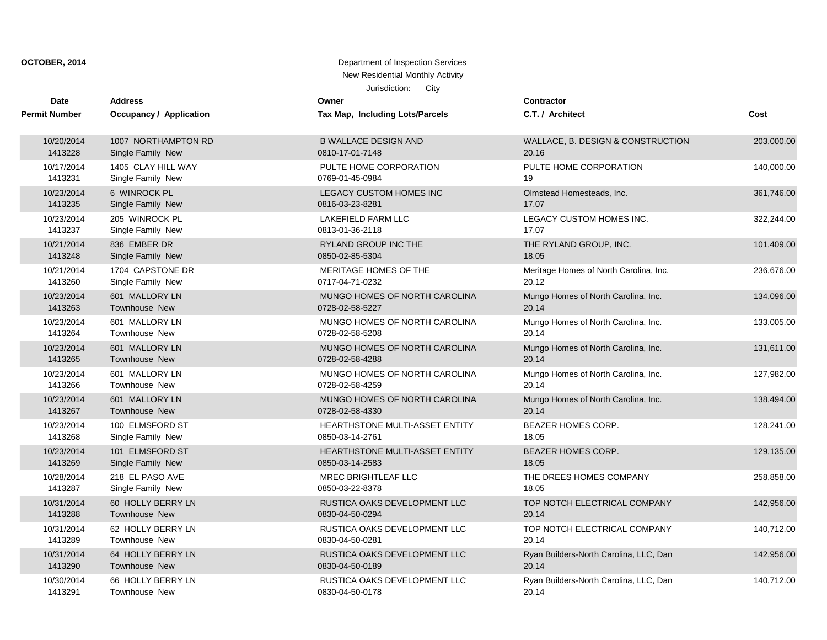| <b>Date</b>          | <b>Address</b>          | Owner                                 | <b>Contractor</b>                      |            |
|----------------------|-------------------------|---------------------------------------|----------------------------------------|------------|
| <b>Permit Number</b> | Occupancy / Application | Tax Map, Including Lots/Parcels       | C.T. / Architect                       | Cost       |
| 10/20/2014           | 1007 NORTHAMPTON RD     | <b>B WALLACE DESIGN AND</b>           | WALLACE, B. DESIGN & CONSTRUCTION      | 203,000.00 |
| 1413228              | Single Family New       | 0810-17-01-7148                       | 20.16                                  |            |
| 10/17/2014           | 1405 CLAY HILL WAY      | PULTE HOME CORPORATION                | PULTE HOME CORPORATION                 | 140,000.00 |
| 1413231              | Single Family New       | 0769-01-45-0984                       | 19                                     |            |
| 10/23/2014           | 6 WINROCK PL            | <b>LEGACY CUSTOM HOMES INC</b>        | Olmstead Homesteads, Inc.              | 361,746.00 |
| 1413235              | Single Family New       | 0816-03-23-8281                       | 17.07                                  |            |
| 10/23/2014           | 205 WINROCK PL          | <b>LAKEFIELD FARM LLC</b>             | LEGACY CUSTOM HOMES INC.               | 322,244.00 |
| 1413237              | Single Family New       | 0813-01-36-2118                       | 17.07                                  |            |
| 10/21/2014           | 836 EMBER DR            | RYLAND GROUP INC THE                  | THE RYLAND GROUP, INC.                 | 101,409.00 |
| 1413248              | Single Family New       | 0850-02-85-5304                       | 18.05                                  |            |
| 10/21/2014           | 1704 CAPSTONE DR        | MERITAGE HOMES OF THE                 | Meritage Homes of North Carolina, Inc. | 236,676.00 |
| 1413260              | Single Family New       | 0717-04-71-0232                       | 20.12                                  |            |
| 10/23/2014           | 601 MALLORY LN          | MUNGO HOMES OF NORTH CAROLINA         | Mungo Homes of North Carolina, Inc.    | 134,096.00 |
| 1413263              | <b>Townhouse New</b>    | 0728-02-58-5227                       | 20.14                                  |            |
| 10/23/2014           | 601 MALLORY LN          | MUNGO HOMES OF NORTH CAROLINA         | Mungo Homes of North Carolina, Inc.    | 133,005.00 |
| 1413264              | Townhouse New           | 0728-02-58-5208                       | 20.14                                  |            |
| 10/23/2014           | 601 MALLORY LN          | MUNGO HOMES OF NORTH CAROLINA         | Mungo Homes of North Carolina, Inc.    | 131,611.00 |
| 1413265              | <b>Townhouse New</b>    | 0728-02-58-4288                       | 20.14                                  |            |
| 10/23/2014           | 601 MALLORY LN          | MUNGO HOMES OF NORTH CAROLINA         | Mungo Homes of North Carolina, Inc.    | 127,982.00 |
| 1413266              | Townhouse New           | 0728-02-58-4259                       | 20.14                                  |            |
| 10/23/2014           | 601 MALLORY LN          | MUNGO HOMES OF NORTH CAROLINA         | Mungo Homes of North Carolina, Inc.    | 138,494.00 |
| 1413267              | Townhouse New           | 0728-02-58-4330                       | 20.14                                  |            |
| 10/23/2014           | 100 ELMSFORD ST         | <b>HEARTHSTONE MULTI-ASSET ENTITY</b> | <b>BEAZER HOMES CORP.</b>              | 128,241.00 |
| 1413268              | Single Family New       | 0850-03-14-2761                       | 18.05                                  |            |
| 10/23/2014           | 101 ELMSFORD ST         | HEARTHSTONE MULTI-ASSET ENTITY        | BEAZER HOMES CORP.                     | 129,135.00 |
| 1413269              | Single Family New       | 0850-03-14-2583                       | 18.05                                  |            |
| 10/28/2014           | 218 EL PASO AVE         | MREC BRIGHTLEAF LLC                   | THE DREES HOMES COMPANY                | 258,858.00 |
| 1413287              | Single Family New       | 0850-03-22-8378                       | 18.05                                  |            |
| 10/31/2014           | 60 HOLLY BERRY LN       | RUSTICA OAKS DEVELOPMENT LLC          | TOP NOTCH ELECTRICAL COMPANY           | 142,956.00 |
| 1413288              | Townhouse New           | 0830-04-50-0294                       | 20.14                                  |            |
| 10/31/2014           | 62 HOLLY BERRY LN       | RUSTICA OAKS DEVELOPMENT LLC          | TOP NOTCH ELECTRICAL COMPANY           | 140,712.00 |
| 1413289              | <b>Townhouse New</b>    | 0830-04-50-0281                       | 20.14                                  |            |
| 10/31/2014           | 64 HOLLY BERRY LN       | RUSTICA OAKS DEVELOPMENT LLC          | Ryan Builders-North Carolina, LLC, Dan | 142,956.00 |
| 1413290              | Townhouse New           | 0830-04-50-0189                       | 20.14                                  |            |
| 10/30/2014           | 66 HOLLY BERRY LN       | RUSTICA OAKS DEVELOPMENT LLC          | Ryan Builders-North Carolina, LLC, Dan | 140,712.00 |
| 1413291              | Townhouse New           | 0830-04-50-0178                       | 20.14                                  |            |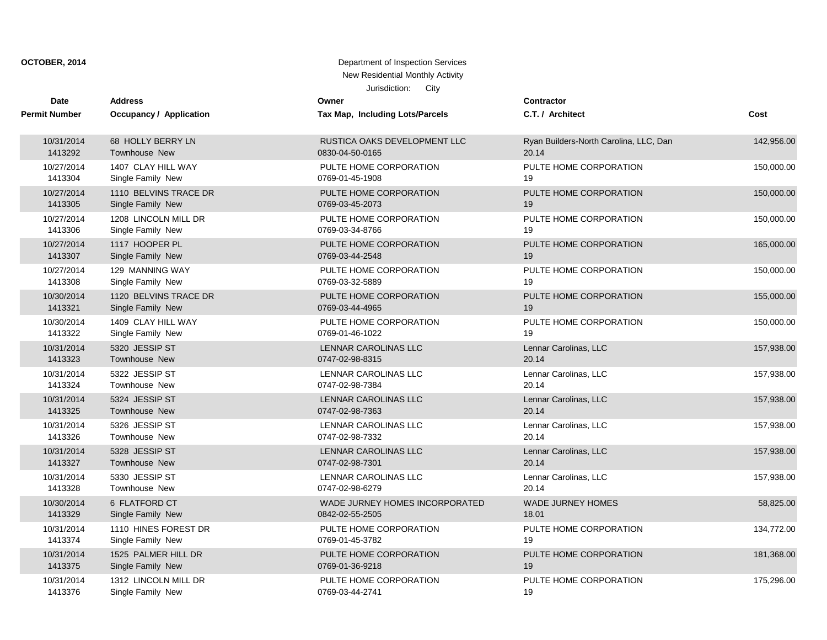| <b>Date</b>          | <b>Address</b>          | Owner                           | <b>Contractor</b>                      |            |
|----------------------|-------------------------|---------------------------------|----------------------------------------|------------|
| <b>Permit Number</b> | Occupancy / Application | Tax Map, Including Lots/Parcels | C.T. / Architect                       | Cost       |
| 10/31/2014           | 68 HOLLY BERRY LN       | RUSTICA OAKS DEVELOPMENT LLC    | Ryan Builders-North Carolina, LLC, Dan | 142,956.00 |
| 1413292              | Townhouse New           | 0830-04-50-0165                 | 20.14                                  |            |
| 10/27/2014           | 1407 CLAY HILL WAY      | PULTE HOME CORPORATION          | PULTE HOME CORPORATION                 | 150,000.00 |
| 1413304              | Single Family New       | 0769-01-45-1908                 | 19                                     |            |
| 10/27/2014           | 1110 BELVINS TRACE DR   | PULTE HOME CORPORATION          | PULTE HOME CORPORATION                 | 150,000.00 |
| 1413305              | Single Family New       | 0769-03-45-2073                 | 19                                     |            |
| 10/27/2014           | 1208 LINCOLN MILL DR    | PULTE HOME CORPORATION          | PULTE HOME CORPORATION                 | 150,000.00 |
| 1413306              | Single Family New       | 0769-03-34-8766                 | 19                                     |            |
| 10/27/2014           | 1117 HOOPER PL          | PULTE HOME CORPORATION          | PULTE HOME CORPORATION                 | 165,000.00 |
| 1413307              | Single Family New       | 0769-03-44-2548                 | 19                                     |            |
| 10/27/2014           | 129 MANNING WAY         | PULTE HOME CORPORATION          | PULTE HOME CORPORATION                 | 150,000.00 |
| 1413308              | Single Family New       | 0769-03-32-5889                 | 19                                     |            |
| 10/30/2014           | 1120 BELVINS TRACE DR   | PULTE HOME CORPORATION          | PULTE HOME CORPORATION                 | 155,000.00 |
| 1413321              | Single Family New       | 0769-03-44-4965                 | 19                                     |            |
| 10/30/2014           | 1409 CLAY HILL WAY      | PULTE HOME CORPORATION          | PULTE HOME CORPORATION                 | 150,000.00 |
| 1413322              | Single Family New       | 0769-01-46-1022                 | 19                                     |            |
| 10/31/2014           | 5320 JESSIP ST          | LENNAR CAROLINAS LLC            | Lennar Carolinas, LLC                  | 157,938.00 |
| 1413323              | Townhouse New           | 0747-02-98-8315                 | 20.14                                  |            |
| 10/31/2014           | 5322 JESSIP ST          | <b>LENNAR CAROLINAS LLC</b>     | Lennar Carolinas, LLC                  | 157,938.00 |
| 1413324              | Townhouse New           | 0747-02-98-7384                 | 20.14                                  |            |
| 10/31/2014           | 5324 JESSIP ST          | LENNAR CAROLINAS LLC            | Lennar Carolinas, LLC                  | 157,938.00 |
| 1413325              | <b>Townhouse New</b>    | 0747-02-98-7363                 | 20.14                                  |            |
| 10/31/2014           | 5326 JESSIP ST          | LENNAR CAROLINAS LLC            | Lennar Carolinas, LLC                  | 157,938.00 |
| 1413326              | Townhouse New           | 0747-02-98-7332                 | 20.14                                  |            |
| 10/31/2014           | 5328 JESSIP ST          | LENNAR CAROLINAS LLC            | Lennar Carolinas, LLC                  | 157,938.00 |
| 1413327              | Townhouse New           | 0747-02-98-7301                 | 20.14                                  |            |
| 10/31/2014           | 5330 JESSIP ST          | LENNAR CAROLINAS LLC            | Lennar Carolinas, LLC                  | 157,938.00 |
| 1413328              | <b>Townhouse New</b>    | 0747-02-98-6279                 | 20.14                                  |            |
| 10/30/2014           | 6 FLATFORD CT           | WADE JURNEY HOMES INCORPORATED  | <b>WADE JURNEY HOMES</b>               | 58,825.00  |
| 1413329              | Single Family New       | 0842-02-55-2505                 | 18.01                                  |            |
| 10/31/2014           | 1110 HINES FOREST DR    | PULTE HOME CORPORATION          | PULTE HOME CORPORATION                 | 134,772.00 |
| 1413374              | Single Family New       | 0769-01-45-3782                 | 19                                     |            |
| 10/31/2014           | 1525 PALMER HILL DR     | PULTE HOME CORPORATION          | PULTE HOME CORPORATION                 | 181,368.00 |
| 1413375              | Single Family New       | 0769-01-36-9218                 | 19                                     |            |
| 10/31/2014           | 1312 LINCOLN MILL DR    | PULTE HOME CORPORATION          | PULTE HOME CORPORATION                 | 175,296.00 |
| 1413376              | Single Family New       | 0769-03-44-2741                 | 19                                     |            |